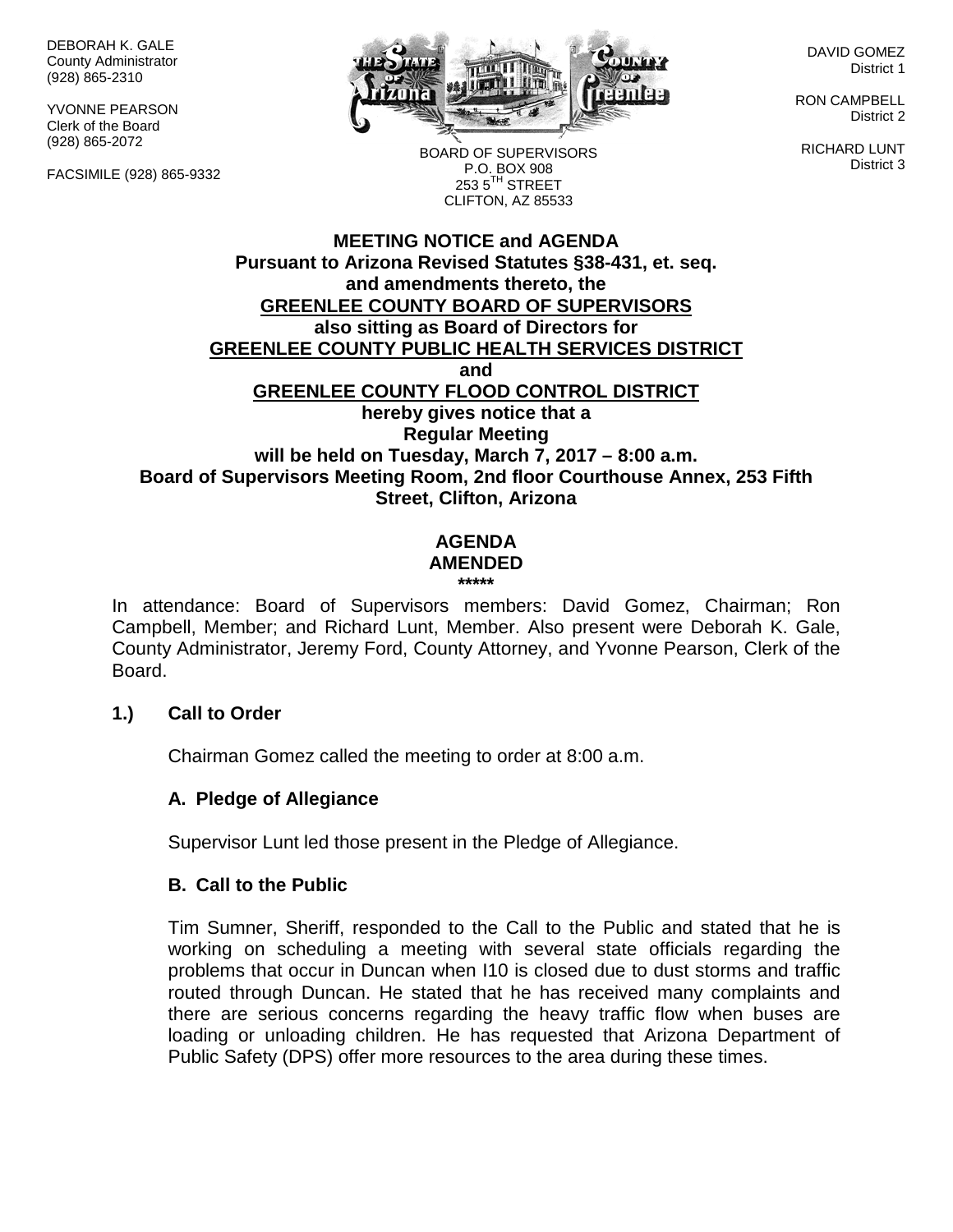DEBORAH K. GALE County Administrator (928) 865-2310

YVONNE PEARSON Clerk of the Board (928) 865-2072

FACSIMILE (928) 865-9332



DAVID GOMEZ District 1

RON CAMPBELL District 2

RICHARD LUNT District 3

BOARD OF SUPERVISORS P.O. BOX 908  $253.5$ <sup>TH</sup> STREET CLIFTON, AZ 85533

## **MEETING NOTICE and AGENDA Pursuant to Arizona Revised Statutes §38-431, et. seq. and amendments thereto, the GREENLEE COUNTY BOARD OF SUPERVISORS also sitting as Board of Directors for GREENLEE COUNTY PUBLIC HEALTH SERVICES DISTRICT and GREENLEE COUNTY FLOOD CONTROL DISTRICT hereby gives notice that a Regular Meeting will be held on Tuesday, March 7, 2017 – 8:00 a.m. Board of Supervisors Meeting Room, 2nd floor Courthouse Annex, 253 Fifth Street, Clifton, Arizona**

#### **AGENDA AMENDED**

**\*\*\*\*\***

In attendance: Board of Supervisors members: David Gomez, Chairman; Ron Campbell, Member; and Richard Lunt, Member. Also present were Deborah K. Gale, County Administrator, Jeremy Ford, County Attorney, and Yvonne Pearson, Clerk of the Board.

#### **1.) Call to Order**

Chairman Gomez called the meeting to order at 8:00 a.m.

### **A. Pledge of Allegiance**

Supervisor Lunt led those present in the Pledge of Allegiance.

### **B. Call to the Public**

Tim Sumner, Sheriff, responded to the Call to the Public and stated that he is working on scheduling a meeting with several state officials regarding the problems that occur in Duncan when I10 is closed due to dust storms and traffic routed through Duncan. He stated that he has received many complaints and there are serious concerns regarding the heavy traffic flow when buses are loading or unloading children. He has requested that Arizona Department of Public Safety (DPS) offer more resources to the area during these times.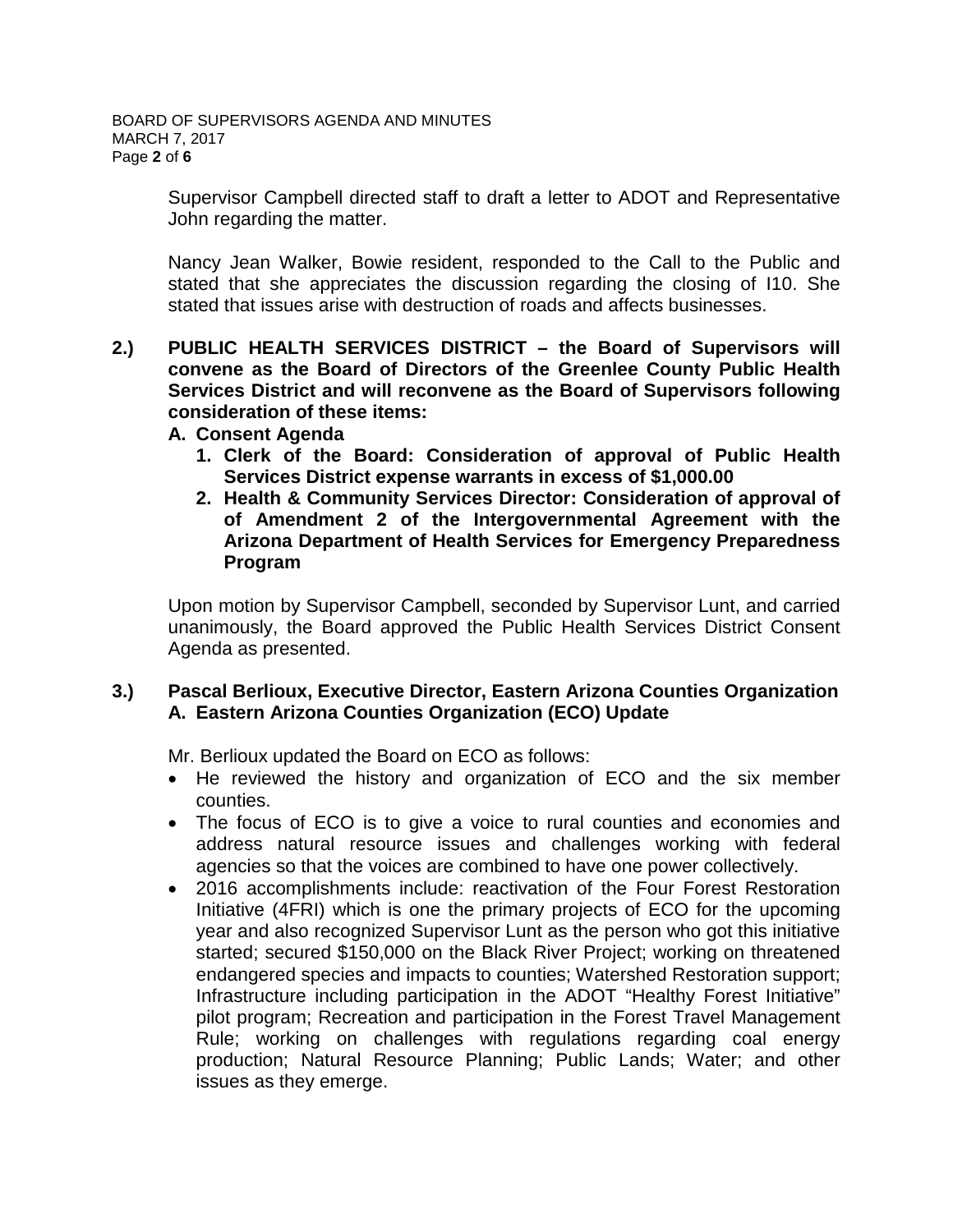Supervisor Campbell directed staff to draft a letter to ADOT and Representative John regarding the matter.

Nancy Jean Walker, Bowie resident, responded to the Call to the Public and stated that she appreciates the discussion regarding the closing of I10. She stated that issues arise with destruction of roads and affects businesses.

- **2.) PUBLIC HEALTH SERVICES DISTRICT – the Board of Supervisors will convene as the Board of Directors of the Greenlee County Public Health Services District and will reconvene as the Board of Supervisors following consideration of these items:**
	- **A. Consent Agenda**
		- **1. Clerk of the Board: Consideration of approval of Public Health Services District expense warrants in excess of \$1,000.00**
		- **2. Health & Community Services Director: Consideration of approval of of Amendment 2 of the Intergovernmental Agreement with the Arizona Department of Health Services for Emergency Preparedness Program**

Upon motion by Supervisor Campbell, seconded by Supervisor Lunt, and carried unanimously, the Board approved the Public Health Services District Consent Agenda as presented.

### **3.) Pascal Berlioux, Executive Director, Eastern Arizona Counties Organization A. Eastern Arizona Counties Organization (ECO) Update**

Mr. Berlioux updated the Board on ECO as follows:

- He reviewed the history and organization of ECO and the six member counties.
- The focus of ECO is to give a voice to rural counties and economies and address natural resource issues and challenges working with federal agencies so that the voices are combined to have one power collectively.
- 2016 accomplishments include: reactivation of the Four Forest Restoration Initiative (4FRI) which is one the primary projects of ECO for the upcoming year and also recognized Supervisor Lunt as the person who got this initiative started; secured \$150,000 on the Black River Project; working on threatened endangered species and impacts to counties; Watershed Restoration support; Infrastructure including participation in the ADOT "Healthy Forest Initiative" pilot program; Recreation and participation in the Forest Travel Management Rule; working on challenges with regulations regarding coal energy production; Natural Resource Planning; Public Lands; Water; and other issues as they emerge.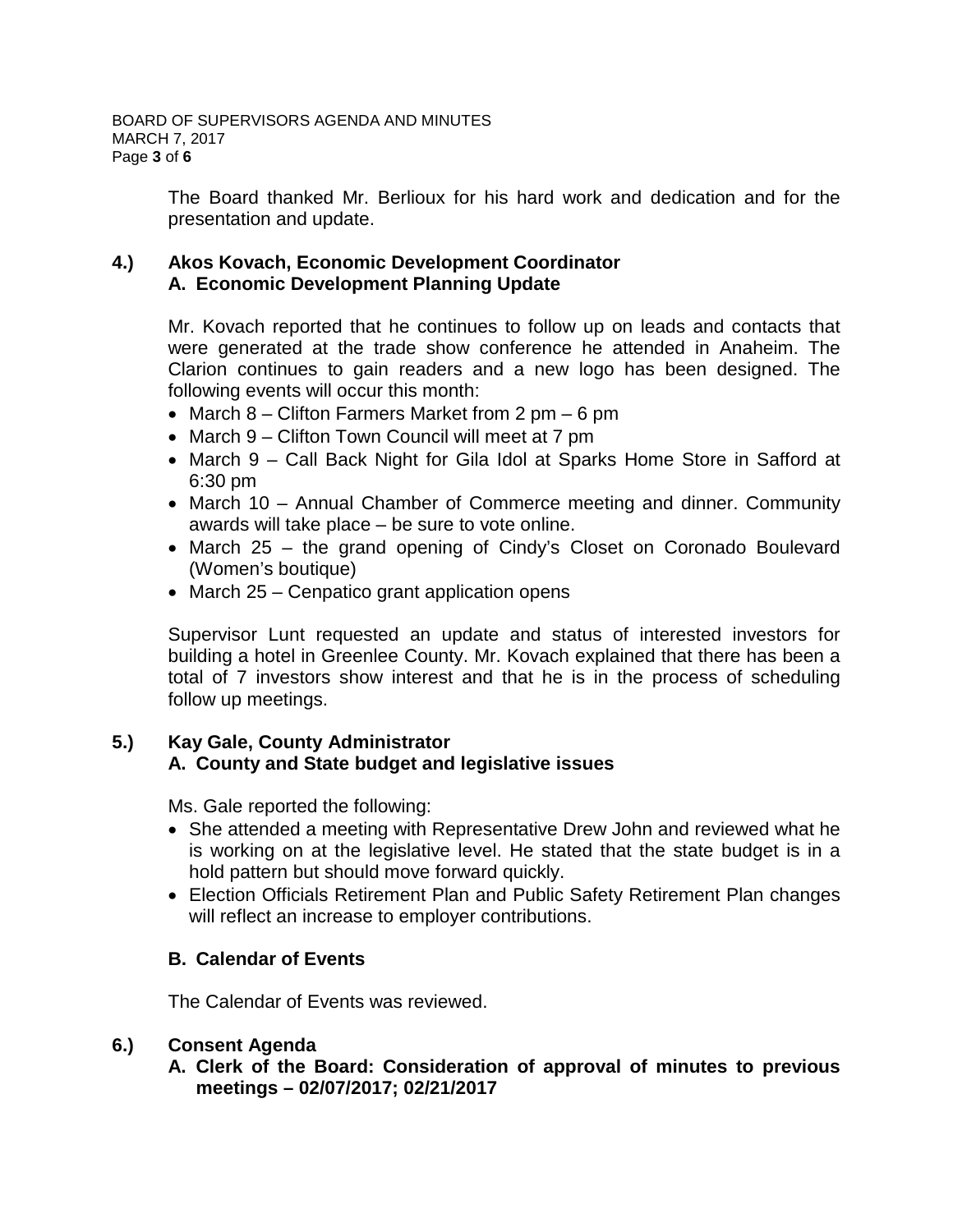The Board thanked Mr. Berlioux for his hard work and dedication and for the presentation and update.

# **4.) Akos Kovach, Economic Development Coordinator A. Economic Development Planning Update**

Mr. Kovach reported that he continues to follow up on leads and contacts that were generated at the trade show conference he attended in Anaheim. The Clarion continues to gain readers and a new logo has been designed. The following events will occur this month:

- March 8 Clifton Farmers Market from 2 pm 6 pm
- March 9 Clifton Town Council will meet at 7 pm
- March 9 Call Back Night for Gila Idol at Sparks Home Store in Safford at 6:30 pm
- March 10 Annual Chamber of Commerce meeting and dinner. Community awards will take place – be sure to vote online.
- March 25 the grand opening of Cindy's Closet on Coronado Boulevard (Women's boutique)
- March 25 Cenpatico grant application opens

Supervisor Lunt requested an update and status of interested investors for building a hotel in Greenlee County. Mr. Kovach explained that there has been a total of 7 investors show interest and that he is in the process of scheduling follow up meetings.

### **5.) Kay Gale, County Administrator A. County and State budget and legislative issues**

Ms. Gale reported the following:

- She attended a meeting with Representative Drew John and reviewed what he is working on at the legislative level. He stated that the state budget is in a hold pattern but should move forward quickly.
- Election Officials Retirement Plan and Public Safety Retirement Plan changes will reflect an increase to employer contributions.

### **B. Calendar of Events**

The Calendar of Events was reviewed.

### **6.) Consent Agenda**

**A. Clerk of the Board: Consideration of approval of minutes to previous meetings – 02/07/2017; 02/21/2017**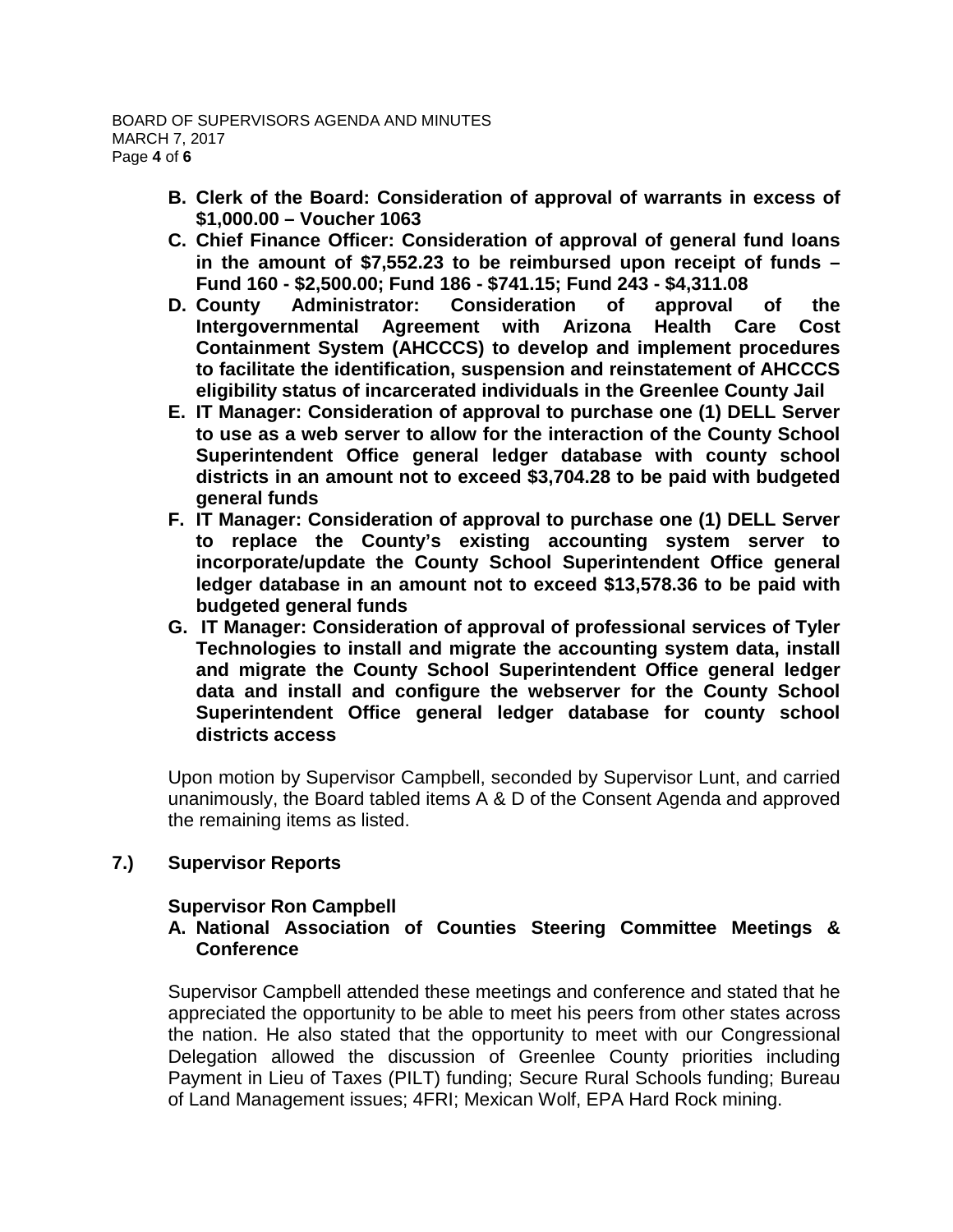- **B. Clerk of the Board: Consideration of approval of warrants in excess of \$1,000.00 – Voucher 1063**
- **C. Chief Finance Officer: Consideration of approval of general fund loans in the amount of \$7,552.23 to be reimbursed upon receipt of funds – Fund 160 - \$2,500.00; Fund 186 - \$741.15; Fund 243 - \$4,311.08**
- **D. County Administrator: Consideration of approval of the Intergovernmental Agreement with Arizona Health Care Cost Containment System (AHCCCS) to develop and implement procedures to facilitate the identification, suspension and reinstatement of AHCCCS eligibility status of incarcerated individuals in the Greenlee County Jail**
- **E. IT Manager: Consideration of approval to purchase one (1) DELL Server to use as a web server to allow for the interaction of the County School Superintendent Office general ledger database with county school districts in an amount not to exceed \$3,704.28 to be paid with budgeted general funds**
- **F. IT Manager: Consideration of approval to purchase one (1) DELL Server to replace the County's existing accounting system server to incorporate/update the County School Superintendent Office general ledger database in an amount not to exceed \$13,578.36 to be paid with budgeted general funds**
- **G. IT Manager: Consideration of approval of professional services of Tyler Technologies to install and migrate the accounting system data, install and migrate the County School Superintendent Office general ledger data and install and configure the webserver for the County School Superintendent Office general ledger database for county school districts access**

Upon motion by Supervisor Campbell, seconded by Supervisor Lunt, and carried unanimously, the Board tabled items A & D of the Consent Agenda and approved the remaining items as listed.

### **7.) Supervisor Reports**

### **Supervisor Ron Campbell**

# **A. National Association of Counties Steering Committee Meetings & Conference**

Supervisor Campbell attended these meetings and conference and stated that he appreciated the opportunity to be able to meet his peers from other states across the nation. He also stated that the opportunity to meet with our Congressional Delegation allowed the discussion of Greenlee County priorities including Payment in Lieu of Taxes (PILT) funding; Secure Rural Schools funding; Bureau of Land Management issues; 4FRI; Mexican Wolf, EPA Hard Rock mining.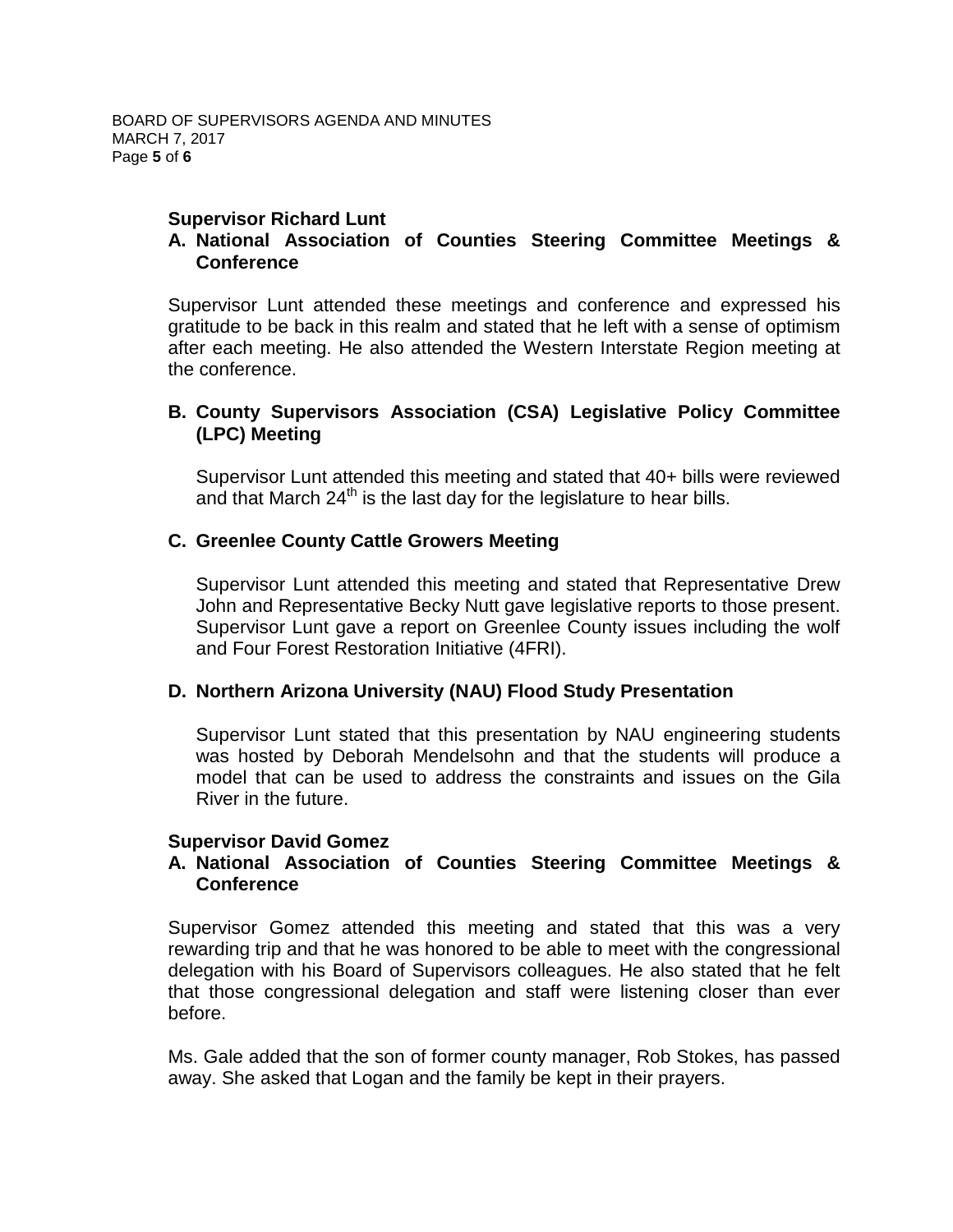## **Supervisor Richard Lunt**

## **A. National Association of Counties Steering Committee Meetings & Conference**

Supervisor Lunt attended these meetings and conference and expressed his gratitude to be back in this realm and stated that he left with a sense of optimism after each meeting. He also attended the Western Interstate Region meeting at the conference.

## **B. County Supervisors Association (CSA) Legislative Policy Committee (LPC) Meeting**

Supervisor Lunt attended this meeting and stated that 40+ bills were reviewed and that March  $24<sup>th</sup>$  is the last day for the legislature to hear bills.

### **C. Greenlee County Cattle Growers Meeting**

Supervisor Lunt attended this meeting and stated that Representative Drew John and Representative Becky Nutt gave legislative reports to those present. Supervisor Lunt gave a report on Greenlee County issues including the wolf and Four Forest Restoration Initiative (4FRI).

### **D. Northern Arizona University (NAU) Flood Study Presentation**

Supervisor Lunt stated that this presentation by NAU engineering students was hosted by Deborah Mendelsohn and that the students will produce a model that can be used to address the constraints and issues on the Gila River in the future.

#### **Supervisor David Gomez**

### **A. National Association of Counties Steering Committee Meetings & Conference**

Supervisor Gomez attended this meeting and stated that this was a very rewarding trip and that he was honored to be able to meet with the congressional delegation with his Board of Supervisors colleagues. He also stated that he felt that those congressional delegation and staff were listening closer than ever before.

Ms. Gale added that the son of former county manager, Rob Stokes, has passed away. She asked that Logan and the family be kept in their prayers.